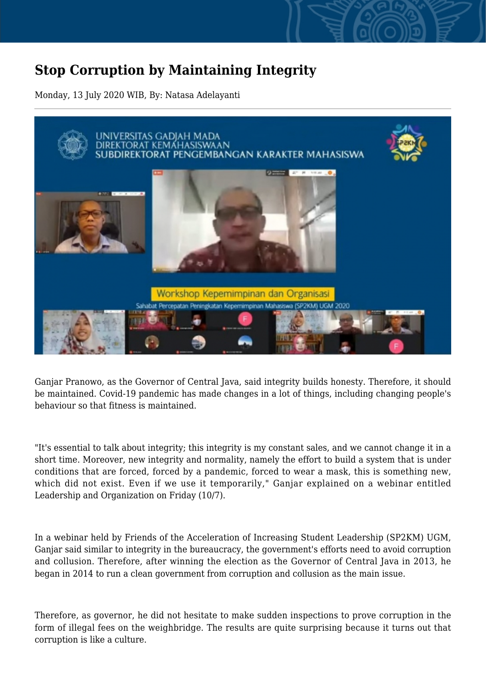## **Stop Corruption by Maintaining Integrity**

Monday, 13 July 2020 WIB, By: Natasa Adelayanti



Ganjar Pranowo, as the Governor of Central Java, said integrity builds honesty. Therefore, it should be maintained. Covid-19 pandemic has made changes in a lot of things, including changing people's behaviour so that fitness is maintained.

"It's essential to talk about integrity; this integrity is my constant sales, and we cannot change it in a short time. Moreover, new integrity and normality, namely the effort to build a system that is under conditions that are forced, forced by a pandemic, forced to wear a mask, this is something new, which did not exist. Even if we use it temporarily," Ganjar explained on a webinar entitled Leadership and Organization on Friday (10/7).

In a webinar held by Friends of the Acceleration of Increasing Student Leadership (SP2KM) UGM, Ganjar said similar to integrity in the bureaucracy, the government's efforts need to avoid corruption and collusion. Therefore, after winning the election as the Governor of Central Java in 2013, he began in 2014 to run a clean government from corruption and collusion as the main issue.

Therefore, as governor, he did not hesitate to make sudden inspections to prove corruption in the form of illegal fees on the weighbridge. The results are quite surprising because it turns out that corruption is like a culture.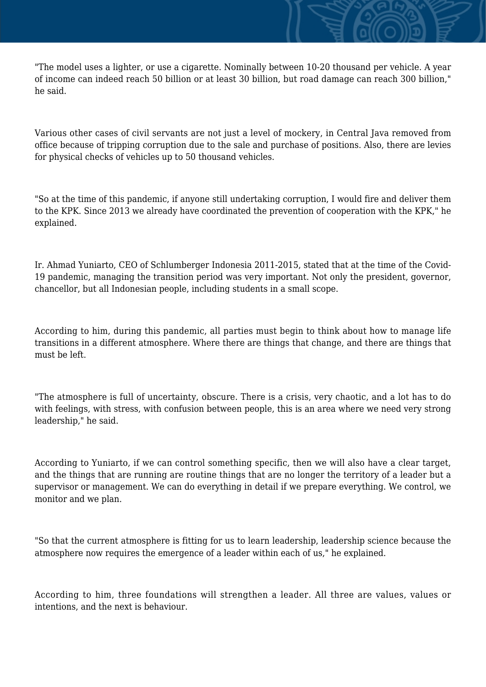"The model uses a lighter, or use a cigarette. Nominally between 10-20 thousand per vehicle. A year of income can indeed reach 50 billion or at least 30 billion, but road damage can reach 300 billion," he said.

Various other cases of civil servants are not just a level of mockery, in Central Java removed from office because of tripping corruption due to the sale and purchase of positions. Also, there are levies for physical checks of vehicles up to 50 thousand vehicles.

"So at the time of this pandemic, if anyone still undertaking corruption, I would fire and deliver them to the KPK. Since 2013 we already have coordinated the prevention of cooperation with the KPK," he explained.

Ir. Ahmad Yuniarto, CEO of Schlumberger Indonesia 2011-2015, stated that at the time of the Covid-19 pandemic, managing the transition period was very important. Not only the president, governor, chancellor, but all Indonesian people, including students in a small scope.

According to him, during this pandemic, all parties must begin to think about how to manage life transitions in a different atmosphere. Where there are things that change, and there are things that must be left.

"The atmosphere is full of uncertainty, obscure. There is a crisis, very chaotic, and a lot has to do with feelings, with stress, with confusion between people, this is an area where we need very strong leadership," he said.

According to Yuniarto, if we can control something specific, then we will also have a clear target, and the things that are running are routine things that are no longer the territory of a leader but a supervisor or management. We can do everything in detail if we prepare everything. We control, we monitor and we plan.

"So that the current atmosphere is fitting for us to learn leadership, leadership science because the atmosphere now requires the emergence of a leader within each of us," he explained.

According to him, three foundations will strengthen a leader. All three are values, values or intentions, and the next is behaviour.